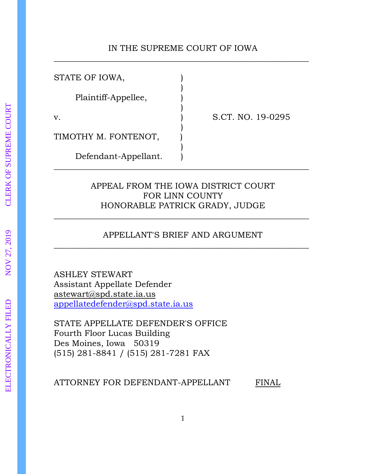### IN THE SUPREME COURT OF IOWA \_\_\_\_\_\_\_\_\_\_\_\_\_\_\_\_\_\_\_\_\_\_\_\_\_\_\_\_\_\_\_\_\_\_\_\_\_\_\_\_\_\_\_\_\_\_\_\_\_\_\_\_\_\_\_\_\_\_\_\_\_

STATE OF IOWA, ) Plaintiff-Appellee, ) )

v. ) S.CT. NO. 19-0295

TIMOTHY M. FONTENOT, )

Defendant-Appellant. )

### APPEAL FROM THE IOWA DISTRICT COURT FOR LINN COUNTY HONORABLE PATRICK GRADY, JUDGE

)

)

\_\_\_\_\_\_\_\_\_\_\_\_\_\_\_\_\_\_\_\_\_\_\_\_\_\_\_\_\_\_\_\_\_\_\_\_\_\_\_\_\_\_\_\_\_\_\_\_\_\_\_\_\_\_\_\_\_\_\_\_\_

## APPELLANT'S BRIEF AND ARGUMENT \_\_\_\_\_\_\_\_\_\_\_\_\_\_\_\_\_\_\_\_\_\_\_\_\_\_\_\_\_\_\_\_\_\_\_\_\_\_\_\_\_\_\_\_\_\_\_\_\_\_\_\_\_\_\_\_\_\_\_\_\_

\_\_\_\_\_\_\_\_\_\_\_\_\_\_\_\_\_\_\_\_\_\_\_\_\_\_\_\_\_\_\_\_\_\_\_\_\_\_\_\_\_\_\_\_\_\_\_\_\_\_\_\_\_\_\_\_\_\_\_\_\_

ASHLEY STEWART Assistant Appellate Defender astewart@spd.state.ia.us [appellatedefender@spd.state.ia.us](mailto:appellatedefender@spd.state.ia.us)

STATE APPELLATE DEFENDER'S OFFICE Fourth Floor Lucas Building Des Moines, Iowa 50319 (515) 281-8841 / (515) 281-7281 FAX

ATTORNEY FOR DEFENDANT-APPELLANT FINAL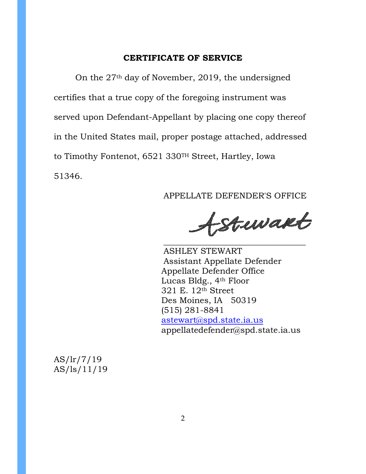#### **CERTIFICATE OF SERVICE**

On the 27th day of November, 2019, the undersigned certifies that a true copy of the foregoing instrument was served upon Defendant-Appellant by placing one copy thereof in the United States mail, proper postage attached, addressed to Timothy Fontenot, 6521 330TH Street, Hartley, Iowa 51346.

### APPELLATE DEFENDER'S OFFICE

fstuvarb \_\_\_\_\_\_\_\_\_\_\_\_\_\_\_\_\_\_\_\_\_\_\_\_\_\_\_\_\_\_\_\_\_\_

ASHLEY STEWART Assistant Appellate Defender Appellate Defender Office Lucas Bldg., 4th Floor 321 E. 12th Street Des Moines, IA 50319 (515) 281-8841 [astewart@spd.state.ia.us](mailto:astewart@spd.state.ia.us) [appellatedefender@spd.state.ia.us](mailto:appellatedefender@spd.state.ia.us)

AS/lr/7/19 AS/ls/11/19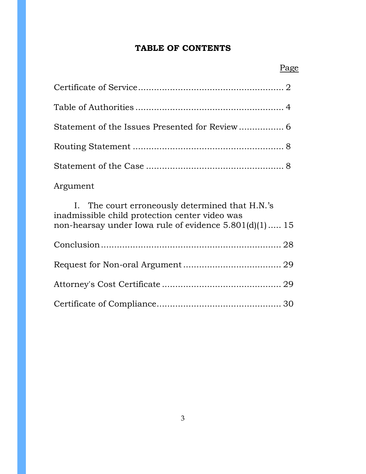# **TABLE OF CONTENTS**

| Argument                                                                                                                                                       |
|----------------------------------------------------------------------------------------------------------------------------------------------------------------|
| Ι.<br>The court erroneously determined that H.N.'s<br>inadmissible child protection center video was<br>non-hearsay under Iowa rule of evidence 5.801(d)(1) 15 |
|                                                                                                                                                                |
|                                                                                                                                                                |
|                                                                                                                                                                |
|                                                                                                                                                                |

# Page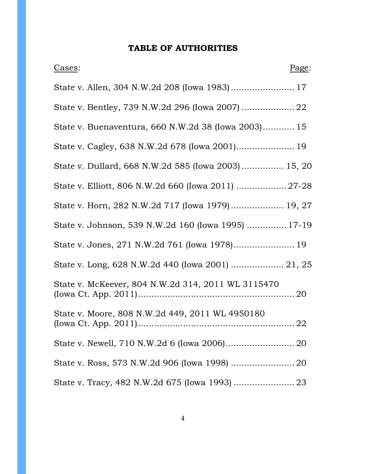# **TABLE OF AUTHORITIES**

| Cases:                                              | Page: |
|-----------------------------------------------------|-------|
|                                                     |       |
| State v. Bentley, 739 N.W.2d 296 (Iowa 2007)  22    |       |
| State v. Buenaventura, 660 N.W.2d 38 (Iowa 2003) 15 |       |
| State v. Cagley, 638 N.W.2d 678 (Iowa 2001) 19      |       |
| State v. Dullard, 668 N.W.2d 585 (Iowa 2003) 15, 20 |       |
| State v. Elliott, 806 N.W.2d 660 (Iowa 2011)  27-28 |       |
| State v. Horn, 282 N.W.2d 717 (Iowa 1979) 19, 27    |       |
| State v. Johnson, 539 N.W.2d 160 (Iowa 1995)  17-19 |       |
| State v. Jones, 271 N.W.2d 761 (Iowa 1978) 19       |       |
| State v. Long, 628 N.W.2d 440 (Iowa 2001)  21, 25   |       |
| State v. McKeever, 804 N.W.2d 314, 2011 WL 3115470  |       |
| State v. Moore, 808 N.W.2d 449, 2011 WL 4950180     |       |
|                                                     |       |
| State v. Ross, 573 N.W.2d 906 (Iowa 1998)  20       |       |
|                                                     |       |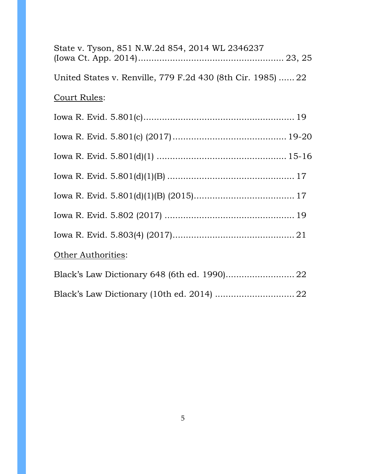| State v. Tyson, 851 N.W.2d 854, 2014 WL 2346237             |  |
|-------------------------------------------------------------|--|
| United States v. Renville, 779 F.2d 430 (8th Cir. 1985)  22 |  |
| Court Rules:                                                |  |
|                                                             |  |
|                                                             |  |
|                                                             |  |
|                                                             |  |
|                                                             |  |
|                                                             |  |
|                                                             |  |
| Other Authorities:                                          |  |
|                                                             |  |
| Black's Law Dictionary (10th ed. 2014)  22                  |  |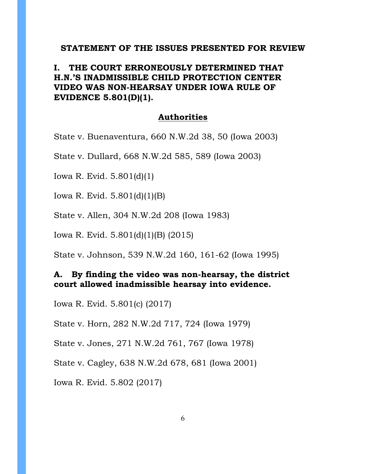#### **STATEMENT OF THE ISSUES PRESENTED FOR REVIEW**

## **I. THE COURT ERRONEOUSLY DETERMINED THAT H.N.'S INADMISSIBLE CHILD PROTECTION CENTER VIDEO WAS NON-HEARSAY UNDER IOWA RULE OF EVIDENCE 5.801(D)(1).**

### **Authorities**

State v. Buenaventura, 660 N.W.2d 38, 50 (Iowa 2003)

State v. Dullard, 668 N.W.2d 585, 589 (Iowa 2003)

Iowa R. Evid. 5.801(d)(1)

Iowa R. Evid. 5.801(d)(1)(B)

State v. Allen, 304 N.W.2d 208 (Iowa 1983)

Iowa R. Evid. 5.801(d)(1)(B) (2015)

State v. Johnson, 539 N.W.2d 160, 161-62 (Iowa 1995)

### **A. By finding the video was non-hearsay, the district court allowed inadmissible hearsay into evidence.**

Iowa R. Evid. 5.801(c) (2017)

State v. Horn, 282 N.W.2d 717, 724 (Iowa 1979)

State v. Jones, 271 N.W.2d 761, 767 (Iowa 1978)

State v. Cagley, 638 N.W.2d 678, 681 (Iowa 2001)

Iowa R. Evid. 5.802 (2017)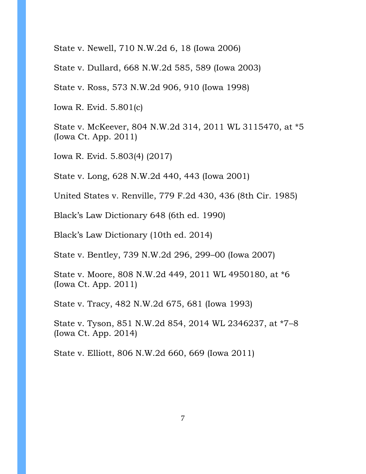State v. Newell, 710 N.W.2d 6, 18 (Iowa 2006)

State v. Dullard, 668 N.W.2d 585, 589 (Iowa 2003)

State v. Ross, 573 N.W.2d 906, 910 (Iowa 1998)

Iowa R. Evid. 5.801(c)

State v. McKeever, 804 N.W.2d 314, 2011 WL 3115470, at \*5 (Iowa Ct. App. 2011)

Iowa R. Evid. 5.803(4) (2017)

State v. Long, 628 N.W.2d 440, 443 (Iowa 2001)

United States v. Renville, 779 F.2d 430, 436 (8th Cir. 1985)

Black's Law Dictionary 648 (6th ed. 1990)

Black's Law Dictionary (10th ed. 2014)

State v. Bentley, 739 N.W.2d 296, 299–00 (Iowa 2007)

State v. Moore, 808 N.W.2d 449, 2011 WL 4950180, at \*6 (Iowa Ct. App. 2011)

State v. Tracy, 482 N.W.2d 675, 681 (Iowa 1993)

State v. Tyson, 851 N.W.2d 854, 2014 WL 2346237, at \*7–8 (Iowa Ct. App. 2014)

State v. Elliott, 806 N.W.2d 660, 669 (Iowa 2011)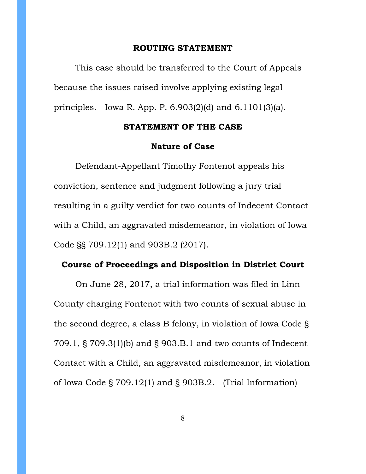#### **ROUTING STATEMENT**

This case should be transferred to the Court of Appeals because the issues raised involve applying existing legal principles. Iowa R. App. P. 6.903(2)(d) and 6.1101(3)(a).

#### **STATEMENT OF THE CASE**

#### **Nature of Case**

Defendant-Appellant Timothy Fontenot appeals his conviction, sentence and judgment following a jury trial resulting in a guilty verdict for two counts of Indecent Contact with a Child, an aggravated misdemeanor, in violation of Iowa Code §§ 709.12(1) and 903B.2 (2017).

### **Course of Proceedings and Disposition in District Court**

On June 28, 2017, a trial information was filed in Linn County charging Fontenot with two counts of sexual abuse in the second degree, a class B felony, in violation of Iowa Code § 709.1, § 709.3(1)(b) and § 903.B.1 and two counts of Indecent Contact with a Child, an aggravated misdemeanor, in violation of Iowa Code § 709.12(1) and § 903B.2. (Trial Information)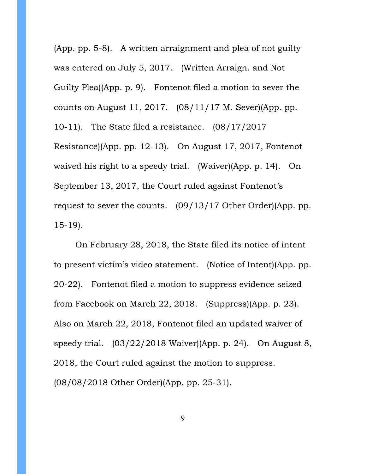(App. pp. 5-8). A written arraignment and plea of not guilty was entered on July 5, 2017. (Written Arraign. and Not Guilty Plea)(App. p. 9). Fontenot filed a motion to sever the counts on August 11, 2017. (08/11/17 M. Sever)(App. pp. 10-11). The State filed a resistance. (08/17/2017 Resistance)(App. pp. 12-13). On August 17, 2017, Fontenot waived his right to a speedy trial. (Waiver)(App. p. 14). On September 13, 2017, the Court ruled against Fontenot's request to sever the counts. (09/13/17 Other Order)(App. pp. 15-19).

On February 28, 2018, the State filed its notice of intent to present victim's video statement. (Notice of Intent)(App. pp. 20-22). Fontenot filed a motion to suppress evidence seized from Facebook on March 22, 2018. (Suppress)(App. p. 23). Also on March 22, 2018, Fontenot filed an updated waiver of speedy trial. (03/22/2018 Waiver)(App. p. 24). On August 8, 2018, the Court ruled against the motion to suppress. (08/08/2018 Other Order)(App. pp. 25-31).

9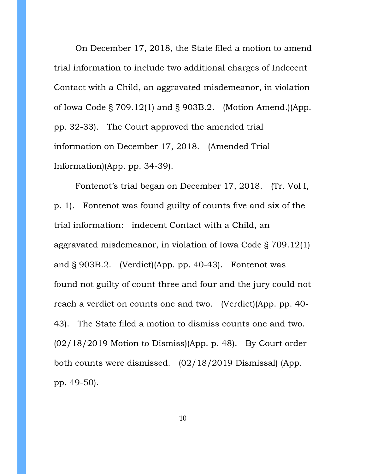On December 17, 2018, the State filed a motion to amend trial information to include two additional charges of Indecent Contact with a Child, an aggravated misdemeanor, in violation of Iowa Code § 709.12(1) and § 903B.2. (Motion Amend.)(App. pp. 32-33). The Court approved the amended trial information on December 17, 2018. (Amended Trial Information)(App. pp. 34-39).

Fontenot's trial began on December 17, 2018. (Tr. Vol I, p. 1). Fontenot was found guilty of counts five and six of the trial information: indecent Contact with a Child, an aggravated misdemeanor, in violation of Iowa Code § 709.12(1) and § 903B.2. (Verdict)(App. pp. 40-43). Fontenot was found not guilty of count three and four and the jury could not reach a verdict on counts one and two. (Verdict)(App. pp. 40- 43). The State filed a motion to dismiss counts one and two.  $(02/18/2019$  Motion to Dismiss)(App. p. 48). By Court order both counts were dismissed. (02/18/2019 Dismissal) (App. pp. 49-50).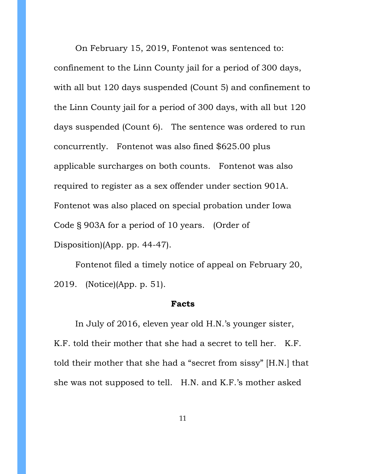On February 15, 2019, Fontenot was sentenced to: confinement to the Linn County jail for a period of 300 days, with all but 120 days suspended (Count 5) and confinement to the Linn County jail for a period of 300 days, with all but 120 days suspended (Count 6). The sentence was ordered to run concurrently. Fontenot was also fined \$625.00 plus applicable surcharges on both counts. Fontenot was also required to register as a sex offender under section 901A. Fontenot was also placed on special probation under Iowa Code § 903A for a period of 10 years. (Order of Disposition)(App. pp. 44-47).

Fontenot filed a timely notice of appeal on February 20, 2019. (Notice)(App. p. 51).

#### **Facts**

In July of 2016, eleven year old H.N.'s younger sister, K.F. told their mother that she had a secret to tell her. K.F. told their mother that she had a "secret from sissy" [H.N.] that she was not supposed to tell. H.N. and K.F.'s mother asked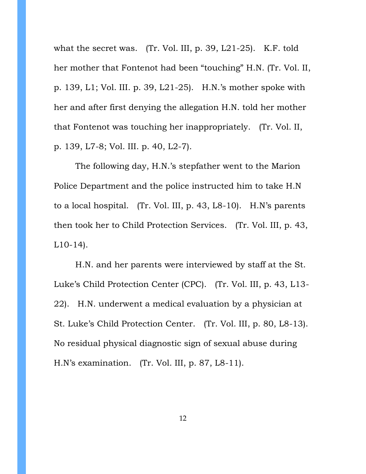what the secret was. (Tr. Vol. III, p. 39, L21-25). K.F. told her mother that Fontenot had been "touching" H.N. (Tr. Vol. II, p. 139, L1; Vol. III. p. 39, L21-25). H.N.'s mother spoke with her and after first denying the allegation H.N. told her mother that Fontenot was touching her inappropriately. (Tr. Vol. II, p. 139, L7-8; Vol. III. p. 40, L2-7).

The following day, H.N.'s stepfather went to the Marion Police Department and the police instructed him to take H.N to a local hospital. (Tr. Vol. III, p. 43, L8-10). H.N's parents then took her to Child Protection Services. (Tr. Vol. III, p. 43, L10-14).

H.N. and her parents were interviewed by staff at the St. Luke's Child Protection Center (CPC). (Tr. Vol. III, p. 43, L13- 22). H.N. underwent a medical evaluation by a physician at St. Luke's Child Protection Center. (Tr. Vol. III, p. 80, L8-13). No residual physical diagnostic sign of sexual abuse during H.N's examination. (Tr. Vol. III, p. 87, L8-11).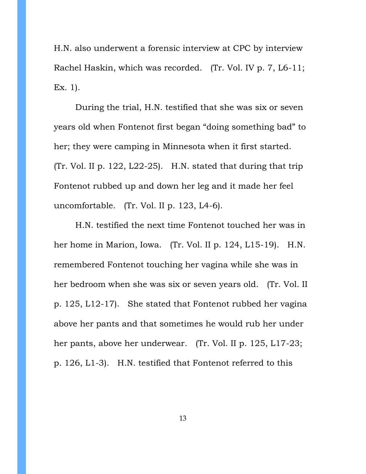H.N. also underwent a forensic interview at CPC by interview Rachel Haskin, which was recorded. (Tr. Vol. IV p. 7, L6-11; Ex. 1).

During the trial, H.N. testified that she was six or seven years old when Fontenot first began "doing something bad" to her; they were camping in Minnesota when it first started. (Tr. Vol. II p. 122, L22-25). H.N. stated that during that trip Fontenot rubbed up and down her leg and it made her feel uncomfortable. (Tr. Vol. II p. 123, L4-6).

H.N. testified the next time Fontenot touched her was in her home in Marion, Iowa. (Tr. Vol. II p. 124, L15-19). H.N. remembered Fontenot touching her vagina while she was in her bedroom when she was six or seven years old. (Tr. Vol. II p. 125, L12-17). She stated that Fontenot rubbed her vagina above her pants and that sometimes he would rub her under her pants, above her underwear. (Tr. Vol. II p. 125, L17-23; p. 126, L1-3). H.N. testified that Fontenot referred to this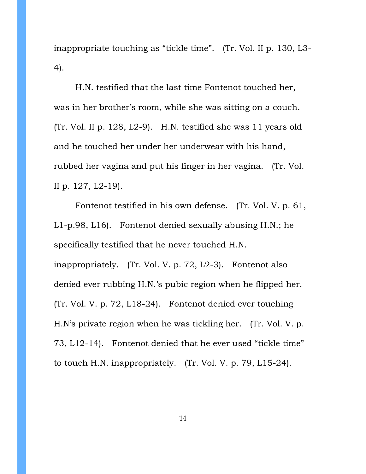inappropriate touching as "tickle time". (Tr. Vol. II p. 130, L3- 4).

H.N. testified that the last time Fontenot touched her, was in her brother's room, while she was sitting on a couch. (Tr. Vol. II p. 128, L2-9). H.N. testified she was 11 years old and he touched her under her underwear with his hand, rubbed her vagina and put his finger in her vagina. (Tr. Vol. II p. 127, L2-19).

Fontenot testified in his own defense. (Tr. Vol. V. p. 61, L1-p.98, L16). Fontenot denied sexually abusing H.N.; he specifically testified that he never touched H.N. inappropriately. (Tr. Vol. V. p. 72, L2-3). Fontenot also denied ever rubbing H.N.'s pubic region when he flipped her. (Tr. Vol. V. p. 72, L18-24). Fontenot denied ever touching H.N's private region when he was tickling her. (Tr. Vol. V. p. 73, L12-14). Fontenot denied that he ever used "tickle time" to touch H.N. inappropriately. (Tr. Vol. V. p. 79, L15-24).

14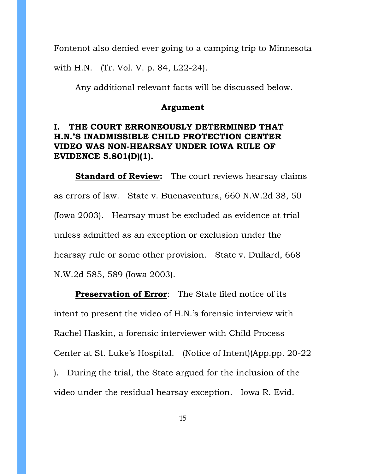Fontenot also denied ever going to a camping trip to Minnesota

with H.N. (Tr. Vol. V. p. 84, L22-24).

Any additional relevant facts will be discussed below.

#### **Argument**

## **I. THE COURT ERRONEOUSLY DETERMINED THAT H.N.'S INADMISSIBLE CHILD PROTECTION CENTER VIDEO WAS NON-HEARSAY UNDER IOWA RULE OF EVIDENCE 5.801(D)(1).**

**Standard of Review:** The court reviews hearsay claims as errors of law. State v. Buenaventura, 660 N.W.2d 38, 50 (Iowa 2003). Hearsay must be excluded as evidence at trial unless admitted as an exception or exclusion under the hearsay rule or some other provision. State v. Dullard, 668 N.W.2d 585, 589 (Iowa 2003).

**Preservation of Error**: The State filed notice of its intent to present the video of H.N.'s forensic interview with Rachel Haskin, a forensic interviewer with Child Process Center at St. Luke's Hospital. (Notice of Intent)(App.pp. 20-22 ). During the trial, the State argued for the inclusion of the video under the residual hearsay exception. Iowa R. Evid.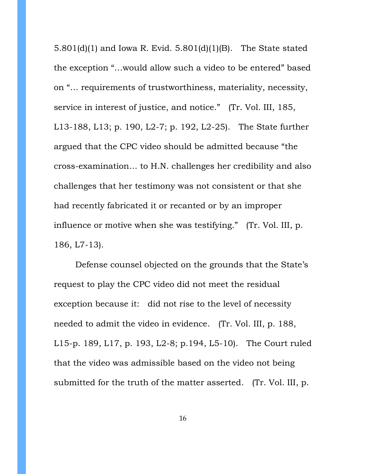5.801(d)(1) and Iowa R. Evid. 5.801(d)(1)(B). The State stated the exception "…would allow such a video to be entered" based on "… requirements of trustworthiness, materiality, necessity, service in interest of justice, and notice." (Tr. Vol. III, 185, L13-188, L13; p. 190, L2-7; p. 192, L2-25). The State further argued that the CPC video should be admitted because "the cross-examination… to H.N. challenges her credibility and also challenges that her testimony was not consistent or that she had recently fabricated it or recanted or by an improper influence or motive when she was testifying." (Tr. Vol. III, p. 186, L7-13).

Defense counsel objected on the grounds that the State's request to play the CPC video did not meet the residual exception because it: did not rise to the level of necessity needed to admit the video in evidence. (Tr. Vol. III, p. 188, L15-p. 189, L17, p. 193, L2-8; p.194, L5-10). The Court ruled that the video was admissible based on the video not being submitted for the truth of the matter asserted. (Tr. Vol. III, p.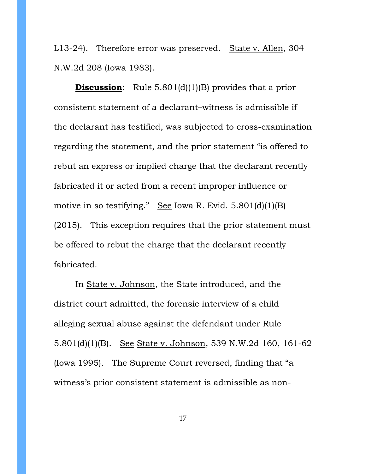L13-24). Therefore error was preserved. State v. Allen, 304 N.W.2d 208 (Iowa 1983).

**Discussion:** Rule 5.801(d)(1)(B) provides that a prior consistent statement of a declarant–witness is admissible if the declarant has testified, was subjected to cross-examination regarding the statement, and the prior statement "is offered to rebut an express or implied charge that the declarant recently fabricated it or acted from a recent improper influence or motive in so testifying." See Iowa R. Evid. 5.801(d)(1)(B) (2015). This exception requires that the prior statement must be offered to rebut the charge that the declarant recently fabricated.

In State v. Johnson, the State introduced, and the district court admitted, the forensic interview of a child alleging sexual abuse against the defendant under Rule 5.801(d)(1)(B). See State v. Johnson, 539 N.W.2d 160, 161-62 (Iowa 1995). The Supreme Court reversed, finding that "a witness's prior consistent statement is admissible as non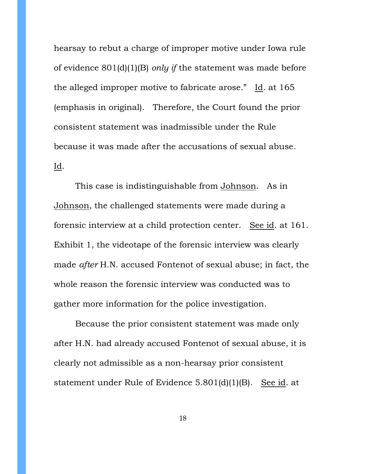hearsay to rebut a charge of improper motive under Iowa rule of evidence 801(d)(1)(B) *only if* the statement was made before the alleged improper motive to fabricate arose." Id. at 165 (emphasis in original). Therefore, the Court found the prior consistent statement was inadmissible under the Rule because it was made after the accusations of sexual abuse. Id.

This case is indistinguishable from Johnson. As in Johnson, the challenged statements were made during a forensic interview at a child protection center. See id. at 161. Exhibit 1, the videotape of the forensic interview was clearly made *after* H.N. accused Fontenot of sexual abuse; in fact, the whole reason the forensic interview was conducted was to gather more information for the police investigation.

Because the prior consistent statement was made only after H.N. had already accused Fontenot of sexual abuse, it is clearly not admissible as a non-hearsay prior consistent statement under Rule of Evidence 5.801(d)(1)(B). See id. at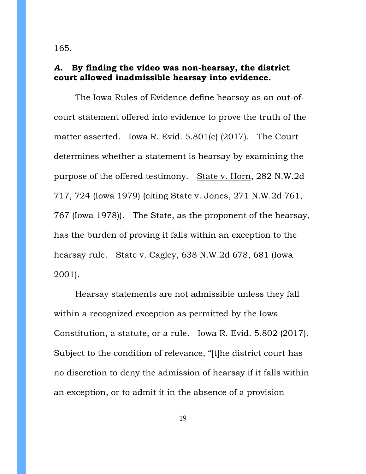165.

### *A.* **By finding the video was non-hearsay, the district court allowed inadmissible hearsay into evidence.**

The Iowa Rules of Evidence define hearsay as an out-ofcourt statement offered into evidence to prove the truth of the matter asserted. Iowa R. Evid. 5.801(c) (2017). The Court determines whether a statement is hearsay by examining the purpose of the offered testimony. State v. Horn, 282 N.W.2d 717, 724 (Iowa 1979) (citing State v. Jones, 271 N.W.2d 761, 767 (Iowa 1978)). The State, as the proponent of the hearsay, has the burden of proving it falls within an exception to the hearsay rule. State v. Cagley, 638 N.W.2d 678, 681 (Iowa 2001).

Hearsay statements are not admissible unless they fall within a recognized exception as permitted by the Iowa Constitution, a statute, or a rule. Iowa R. Evid. 5.802 (2017). Subject to the condition of relevance, "[t]he district court has no discretion to deny the admission of hearsay if it falls within an exception, or to admit it in the absence of a provision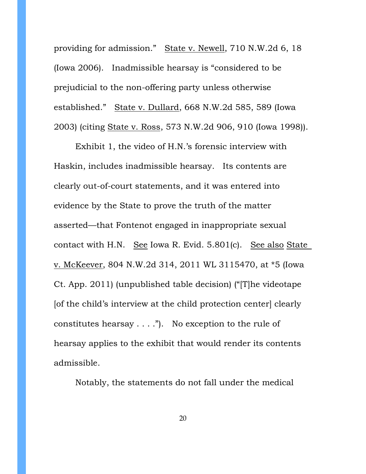providing for admission." State v. Newell, 710 N.W.2d 6, 18 (Iowa 2006). Inadmissible hearsay is "considered to be prejudicial to the non-offering party unless otherwise established." State v. Dullard, 668 N.W.2d 585, 589 (Iowa 2003) (citing State v. Ross, 573 N.W.2d 906, 910 (Iowa 1998)).

Exhibit 1, the video of H.N.'s forensic interview with Haskin, includes inadmissible hearsay. Its contents are clearly out-of-court statements, and it was entered into evidence by the State to prove the truth of the matter asserted—that Fontenot engaged in inappropriate sexual contact with H.N. See Iowa R. Evid. 5.801(c). See also State v. McKeever, 804 N.W.2d 314, 2011 WL 3115470, at \*5 (Iowa Ct. App. 2011) (unpublished table decision) ("[T]he videotape [of the child's interview at the child protection center] clearly constitutes hearsay  $\dots$ ."). No exception to the rule of hearsay applies to the exhibit that would render its contents admissible.

Notably, the statements do not fall under the medical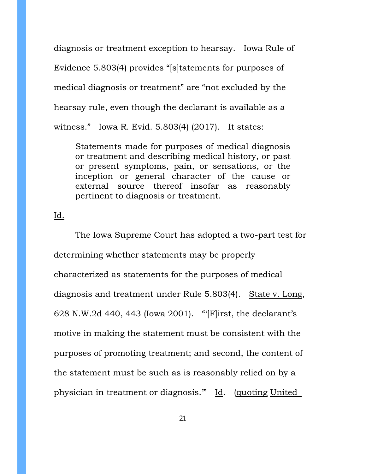diagnosis or treatment exception to hearsay. Iowa Rule of Evidence 5.803(4) provides "[s]tatements for purposes of medical diagnosis or treatment" are "not excluded by the hearsay rule, even though the declarant is available as a witness." Iowa R. Evid. 5.803(4) (2017). It states:

Statements made for purposes of medical diagnosis or treatment and describing medical history, or past or present symptoms, pain, or sensations, or the inception or general character of the cause or external source thereof insofar as reasonably pertinent to diagnosis or treatment.

### Id.

The Iowa Supreme Court has adopted a two-part test for determining whether statements may be properly characterized as statements for the purposes of medical diagnosis and treatment under Rule 5.803(4). State v. Long, 628 N.W.2d 440, 443 (Iowa 2001). "'[F]irst, the declarant's motive in making the statement must be consistent with the purposes of promoting treatment; and second, the content of the statement must be such as is reasonably relied on by a physician in treatment or diagnosis." Id. (quoting United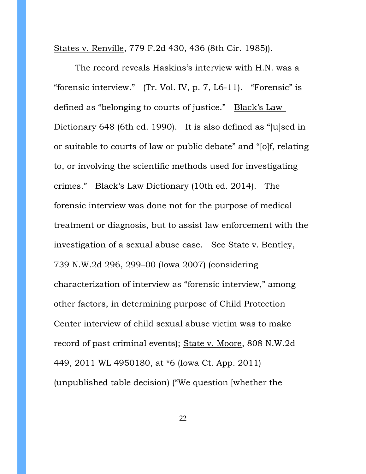States v. Renville, 779 F.2d 430, 436 (8th Cir. 1985)).

The record reveals Haskins's interview with H.N. was a "forensic interview." (Tr. Vol. IV, p. 7, L6-11). "Forensic" is defined as "belonging to courts of justice." Black's Law Dictionary 648 (6th ed. 1990). It is also defined as "[u]sed in or suitable to courts of law or public debate" and "[o]f, relating to, or involving the scientific methods used for investigating crimes." Black's Law Dictionary (10th ed. 2014). The forensic interview was done not for the purpose of medical treatment or diagnosis, but to assist law enforcement with the investigation of a sexual abuse case. See State v. Bentley, 739 N.W.2d 296, 299–00 (Iowa 2007) (considering characterization of interview as "forensic interview," among other factors, in determining purpose of Child Protection Center interview of child sexual abuse victim was to make record of past criminal events); State v. Moore, 808 N.W.2d 449, 2011 WL 4950180, at \*6 (Iowa Ct. App. 2011) (unpublished table decision) ("We question [whether the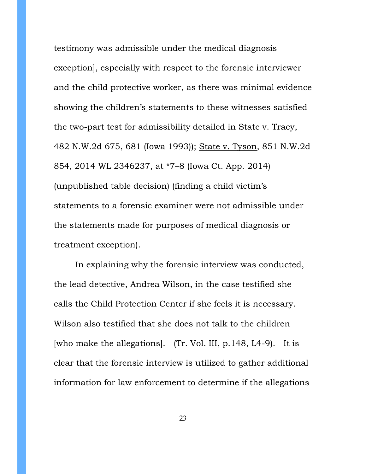testimony was admissible under the medical diagnosis exception], especially with respect to the forensic interviewer and the child protective worker, as there was minimal evidence showing the children's statements to these witnesses satisfied the two-part test for admissibility detailed in State v. Tracy, 482 N.W.2d 675, 681 (Iowa 1993)); State v. Tyson, 851 N.W.2d 854, 2014 WL 2346237, at \*7–8 (Iowa Ct. App. 2014) (unpublished table decision) (finding a child victim's statements to a forensic examiner were not admissible under the statements made for purposes of medical diagnosis or treatment exception).

In explaining why the forensic interview was conducted, the lead detective, Andrea Wilson, in the case testified she calls the Child Protection Center if she feels it is necessary. Wilson also testified that she does not talk to the children [who make the allegations]. (Tr. Vol. III, p.148, L4-9). It is clear that the forensic interview is utilized to gather additional information for law enforcement to determine if the allegations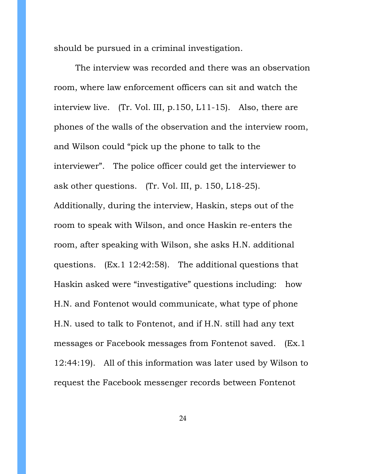should be pursued in a criminal investigation.

The interview was recorded and there was an observation room, where law enforcement officers can sit and watch the interview live. (Tr. Vol. III, p.150, L11-15). Also, there are phones of the walls of the observation and the interview room, and Wilson could "pick up the phone to talk to the interviewer". The police officer could get the interviewer to ask other questions. (Tr. Vol. III, p. 150, L18-25). Additionally, during the interview, Haskin, steps out of the room to speak with Wilson, and once Haskin re-enters the room, after speaking with Wilson, she asks H.N. additional questions. (Ex.1 12:42:58). The additional questions that Haskin asked were "investigative" questions including: how H.N. and Fontenot would communicate, what type of phone H.N. used to talk to Fontenot, and if H.N. still had any text messages or Facebook messages from Fontenot saved. (Ex.1 12:44:19). All of this information was later used by Wilson to request the Facebook messenger records between Fontenot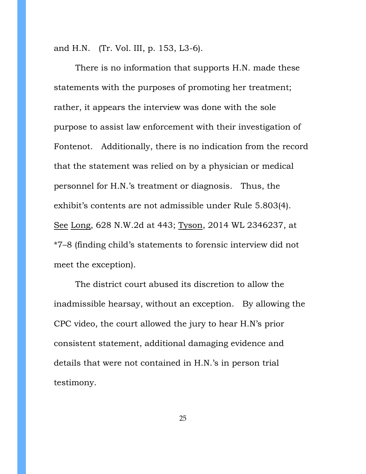and H.N. (Tr. Vol. III, p. 153, L3-6).

There is no information that supports H.N. made these statements with the purposes of promoting her treatment; rather, it appears the interview was done with the sole purpose to assist law enforcement with their investigation of Fontenot. Additionally, there is no indication from the record that the statement was relied on by a physician or medical personnel for H.N.'s treatment or diagnosis. Thus, the exhibit's contents are not admissible under Rule 5.803(4). See Long, 628 N.W.2d at 443; Tyson, 2014 WL 2346237, at \*7–8 (finding child's statements to forensic interview did not meet the exception).

The district court abused its discretion to allow the inadmissible hearsay, without an exception. By allowing the CPC video, the court allowed the jury to hear H.N's prior consistent statement, additional damaging evidence and details that were not contained in H.N.'s in person trial testimony.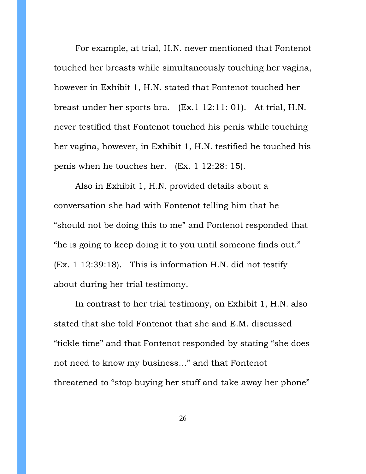For example, at trial, H.N. never mentioned that Fontenot touched her breasts while simultaneously touching her vagina, however in Exhibit 1, H.N. stated that Fontenot touched her breast under her sports bra. (Ex.1 12:11: 01). At trial, H.N. never testified that Fontenot touched his penis while touching her vagina, however, in Exhibit 1, H.N. testified he touched his penis when he touches her. (Ex. 1 12:28: 15).

Also in Exhibit 1, H.N. provided details about a conversation she had with Fontenot telling him that he "should not be doing this to me" and Fontenot responded that "he is going to keep doing it to you until someone finds out." (Ex. 1 12:39:18). This is information H.N. did not testify about during her trial testimony.

In contrast to her trial testimony, on Exhibit 1, H.N. also stated that she told Fontenot that she and E.M. discussed "tickle time" and that Fontenot responded by stating "she does not need to know my business…" and that Fontenot threatened to "stop buying her stuff and take away her phone"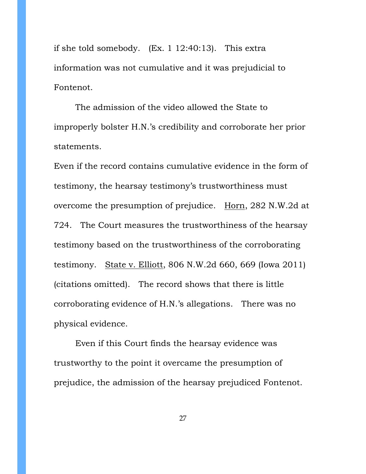if she told somebody. (Ex. 1 12:40:13). This extra information was not cumulative and it was prejudicial to Fontenot.

The admission of the video allowed the State to improperly bolster H.N.'s credibility and corroborate her prior statements.

Even if the record contains cumulative evidence in the form of testimony, the hearsay testimony's trustworthiness must overcome the presumption of prejudice. Horn, 282 N.W.2d at 724. The Court measures the trustworthiness of the hearsay testimony based on the trustworthiness of the corroborating testimony. State v. Elliott, 806 N.W.2d 660, 669 (Iowa 2011) (citations omitted). The record shows that there is little corroborating evidence of H.N.'s allegations. There was no physical evidence.

Even if this Court finds the hearsay evidence was trustworthy to the point it overcame the presumption of prejudice, the admission of the hearsay prejudiced Fontenot.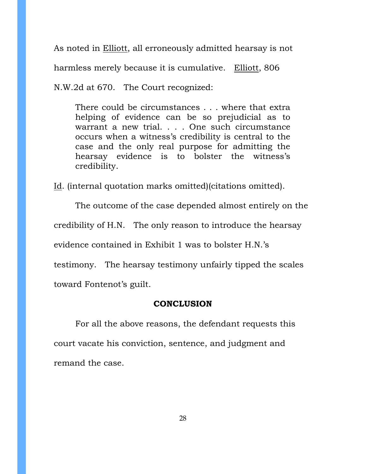As noted in Elliott, all erroneously admitted hearsay is not harmless merely because it is cumulative. Elliott, 806

N.W.2d at 670. The Court recognized:

There could be circumstances . . . where that extra helping of evidence can be so prejudicial as to warrant a new trial. . . . One such circumstance occurs when a witness's credibility is central to the case and the only real purpose for admitting the hearsay evidence is to bolster the witness's credibility.

Id. (internal quotation marks omitted)(citations omitted).

The outcome of the case depended almost entirely on the credibility of H.N. The only reason to introduce the hearsay evidence contained in Exhibit 1 was to bolster H.N.'s testimony. The hearsay testimony unfairly tipped the scales toward Fontenot's guilt.

# **CONCLUSION**

For all the above reasons, the defendant requests this court vacate his conviction, sentence, and judgment and remand the case.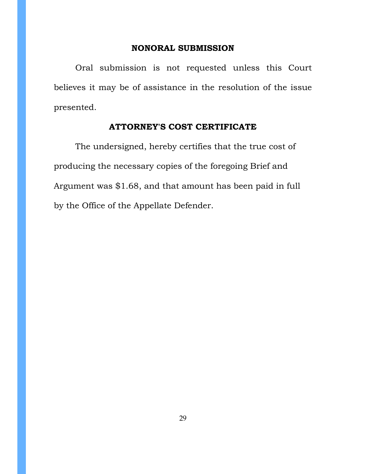#### **NONORAL SUBMISSION**

Oral submission is not requested unless this Court believes it may be of assistance in the resolution of the issue presented.

## **ATTORNEY'S COST CERTIFICATE**

The undersigned, hereby certifies that the true cost of producing the necessary copies of the foregoing Brief and Argument was \$1.68, and that amount has been paid in full by the Office of the Appellate Defender.